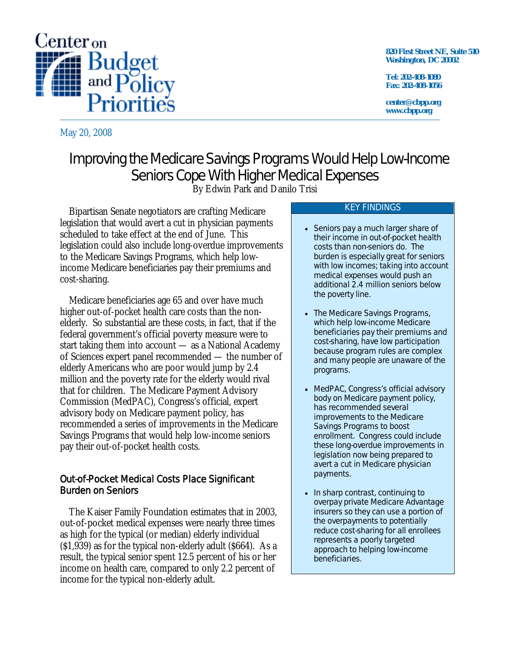

May 20, 2008

**820 First Street NE, Suite 510 Washington, DC 20002** 

**Tel: 202-408-1080 Fax: 202-408-1056** 

**center@cbpp.org www.cbpp.org** 

# Improving the Medicare Savings Programs Would Help Low-Income Seniors Cope With Higher Medical Expenses

By Edwin Park and Danilo Trisi

Bipartisan Senate negotiators are crafting Medicare legislation that would avert a cut in physician payments scheduled to take effect at the end of June. This legislation could also include long-overdue improvements to the Medicare Savings Programs, which help lowincome Medicare beneficiaries pay their premiums and cost-sharing.

Medicare beneficiaries age 65 and over have much higher out-of-pocket health care costs than the nonelderly. So substantial are these costs, in fact, that if the federal government's official poverty measure were to start taking them into account — as a National Academy of Sciences expert panel recommended — the number of elderly Americans who are poor would jump by 2.4 million and the poverty rate for the elderly would rival that for children. The Medicare Payment Advisory Commission (MedPAC), Congress's official, expert advisory body on Medicare payment policy, has recommended a series of improvements in the Medicare Savings Programs that would help low-income seniors pay their out-of-pocket health costs.

## Out-of-Pocket Medical Costs Place Significant Burden on Seniors

The Kaiser Family Foundation estimates that in 2003, out-of-pocket medical expenses were nearly three times as high for the typical (or median) elderly individual (\$1,939) as for the typical non-elderly adult (\$664). As a result, the typical senior spent 12.5 percent of his or her income on health care, compared to only 2.2 percent of income for the typical non-elderly adult.

#### KEY FINDINGS

- Seniors pay a much larger share of their income in out-of-pocket health costs than non-seniors do. The burden is especially great for seniors with low incomes; taking into account medical expenses would push an additional 2.4 million seniors below the poverty line.
- The Medicare Savings Programs, which help low-income Medicare beneficiaries pay their premiums and cost-sharing, have low participation because program rules are complex and many people are unaware of the programs.
- MedPAC, Congress's official advisory body on Medicare payment policy, has recommended several improvements to the Medicare Savings Programs to boost enrollment. Congress could include these long-overdue improvements in legislation now being prepared to avert a cut in Medicare physician payments.
- In sharp contrast, continuing to overpay private Medicare Advantage insurers so they can use a portion of the overpayments to potentially reduce cost-sharing for all enrollees represents a poorly targeted approach to helping low-income beneficiaries.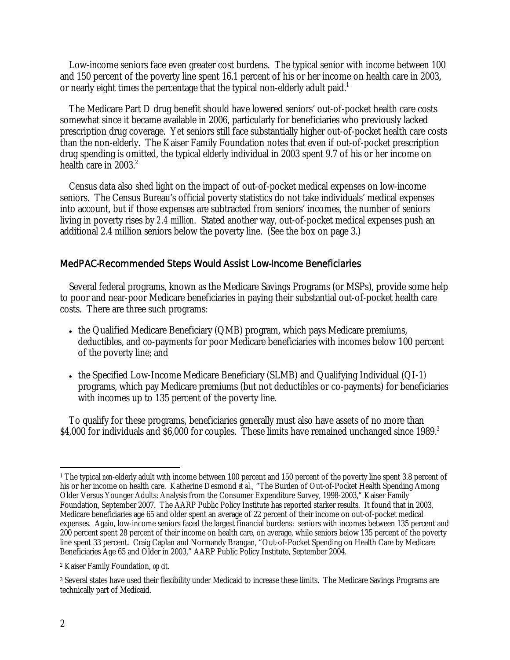Low-income seniors face even greater cost burdens. The typical senior with income between 100 and 150 percent of the poverty line spent 16.1 percent of his or her income on health care in 2003, or nearly eight times the percentage that the typical non-elderly adult paid.<sup>1</sup>

The Medicare Part D drug benefit should have lowered seniors' out-of-pocket health care costs somewhat since it became available in 2006, particularly for beneficiaries who previously lacked prescription drug coverage. Yet seniors still face substantially higher out-of-pocket health care costs than the non-elderly. The Kaiser Family Foundation notes that even if out-of-pocket prescription drug spending is omitted, the typical elderly individual in 2003 spent 9.7 of his or her income on health care in  $2003.<sup>2</sup>$ 

Census data also shed light on the impact of out-of-pocket medical expenses on low-income seniors. The Census Bureau's official poverty statistics do not take individuals' medical expenses into account, but if those expenses are subtracted from seniors' incomes, the number of seniors living in poverty rises by *2.4 million*. Stated another way, out-of-pocket medical expenses push an additional 2.4 million seniors below the poverty line. (See the box on page 3.)

### MedPAC-Recommended Steps Would Assist Low-Income Beneficiaries

Several federal programs, known as the Medicare Savings Programs (or MSPs), provide some help to poor and near-poor Medicare beneficiaries in paying their substantial out-of-pocket health care costs. There are three such programs:

- the Qualified Medicare Beneficiary (QMB) program, which pays Medicare premiums, deductibles, and co-payments for poor Medicare beneficiaries with incomes below 100 percent of the poverty line; and
- the Specified Low-Income Medicare Beneficiary (SLMB) and Qualifying Individual (QI-1) programs, which pay Medicare premiums (but not deductibles or co-payments) for beneficiaries with incomes up to 135 percent of the poverty line.

 To qualify for these programs, beneficiaries generally must also have assets of no more than \$4,000 for individuals and \$6,000 for couples. These limits have remained unchanged since 1989.<sup>3</sup>

 $\overline{a}$ <sup>1</sup> The typical *non*-elderly adult with income between 100 percent and 150 percent of the poverty line spent 3.8 percent of his or her income on health care. Katherine Desmond *et al.,* "The Burden of Out-of-Pocket Health Spending Among Older Versus Younger Adults: Analysis from the Consumer Expenditure Survey, 1998-2003," Kaiser Family Foundation, September 2007. The AARP Public Policy Institute has reported starker results. It found that in 2003, Medicare beneficiaries age 65 and older spent an average of 22 percent of their income on out-of-pocket medical expenses. Again, low-income seniors faced the largest financial burdens: seniors with incomes between 135 percent and 200 percent spent 28 percent of their income on health care, on average, while seniors below 135 percent of the poverty line spent 33 percent. Craig Caplan and Normandy Brangan, "Out-of-Pocket Spending on Health Care by Medicare Beneficiaries Age 65 and Older in 2003," AARP Public Policy Institute, September 2004.

<sup>2</sup> Kaiser Family Foundation, *op cit*.

<sup>3</sup> Several states have used their flexibility under Medicaid to increase these limits. The Medicare Savings Programs are technically part of Medicaid.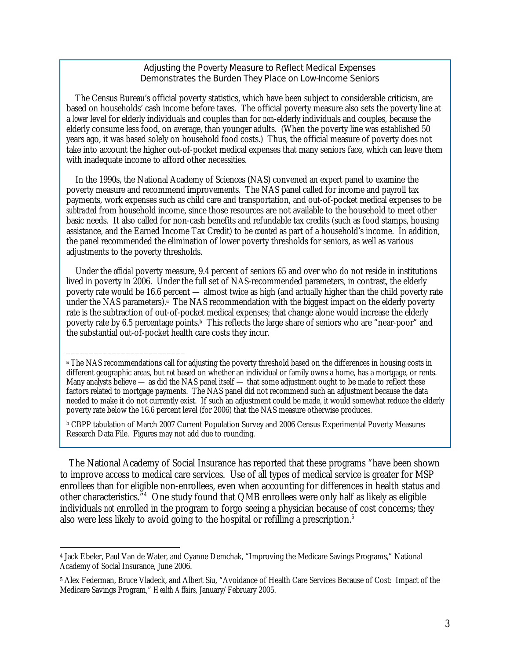#### Adjusting the Poverty Measure to Reflect Medical Expenses Demonstrates the Burden They Place on Low-Income Seniors

 The Census Bureau's official poverty statistics, which have been subject to considerable criticism, are based on households' cash income before taxes. The official poverty measure also sets the poverty line at a *lower* level for elderly individuals and couples than for *non*-elderly individuals and couples, because the elderly consume less food, on average, than younger adults. (When the poverty line was established 50 years ago, it was based solely on household food costs.) Thus, the official measure of poverty does not take into account the higher out-of-pocket medical expenses that many seniors face, which can leave them with inadequate income to afford other necessities.

 In the 1990s, the National Academy of Sciences (NAS) convened an expert panel to examine the poverty measure and recommend improvements. The NAS panel called for income and payroll tax payments, work expenses such as child care and transportation, and out-of-pocket medical expenses to be *subtracted* from household income, since those resources are not available to the household to meet other basic needs. It also called for non-cash benefits and refundable tax credits (such as food stamps, housing assistance, and the Earned Income Tax Credit) to be *counted* as part of a household's income. In addition, the panel recommended the elimination of lower poverty thresholds for seniors, as well as various adjustments to the poverty thresholds.

 Under the *official* poverty measure, 9.4 percent of seniors 65 and over who do not reside in institutions lived in poverty in 2006. Under the full set of NAS-recommended parameters, in contrast, the elderly poverty rate would be 16.6 percent — almost twice as high (and actually higher than the child poverty rate under the NAS parameters).<sup>a</sup> The NAS recommendation with the biggest impact on the elderly poverty rate is the subtraction of out-of-pocket medical expenses; that change alone would increase the elderly poverty rate by 6.5 percentage points.<sup>b</sup> This reflects the large share of seniors who are "near-poor" and the substantial out-of-pocket health care costs they incur.

\_\_\_\_\_\_\_\_\_\_\_\_\_\_\_\_\_\_\_\_\_\_\_\_\_\_

The National Academy of Social Insurance has reported that these programs "have been shown to improve access to medical care services. Use of all types of medical service is greater for MSP enrollees than for eligible non-enrollees, even when accounting for differences in health status and other characteristics.<sup>34</sup> One study found that QMB enrollees were only half as likely as eligible individuals *not* enrolled in the program to forgo seeing a physician because of cost concerns; they also were less likely to avoid going to the hospital or refilling a prescription.<sup>5</sup>

<sup>&</sup>lt;sup>a</sup> The NAS recommendations call for adjusting the poverty threshold based on the differences in housing costs in different geographic areas, but *not* based on whether an individual or family owns a home, has a mortgage, or rents. Many analysts believe — as did the NAS panel itself — that some adjustment ought to be made to reflect these factors related to mortgage payments. The NAS panel did not recommend such an adjustment because the data needed to make it do not currently exist. If such an adjustment could be made, it would somewhat reduce the elderly poverty rate below the 16.6 percent level (for 2006) that the NAS measure otherwise produces.

b CBPP tabulation of March 2007 Current Population Survey and 2006 Census Experimental Poverty Measures Research Data File. Figures may not add due to rounding.

 $\overline{a}$ 4 Jack Ebeler, Paul Van de Water, and Cyanne Demchak, "Improving the Medicare Savings Programs," National Academy of Social Insurance, June 2006.

<sup>5</sup> Alex Federman, Bruce Vladeck, and Albert Siu, "Avoidance of Health Care Services Because of Cost: Impact of the Medicare Savings Program," *Health Affairs*, January/February 2005.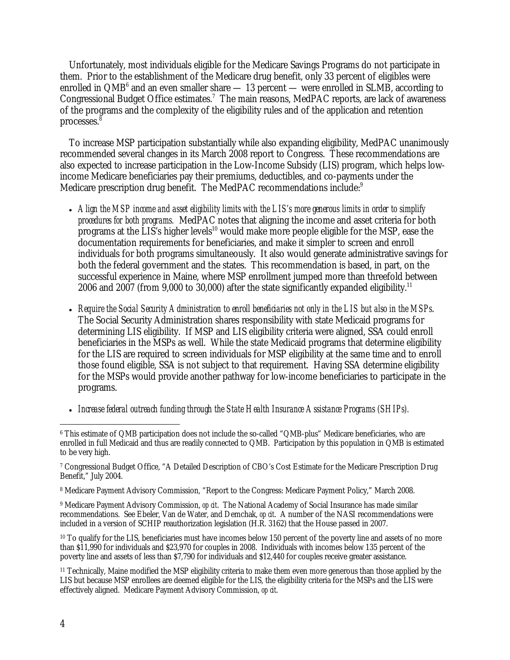Unfortunately, most individuals eligible for the Medicare Savings Programs do not participate in them. Prior to the establishment of the Medicare drug benefit, only 33 percent of eligibles were enrolled in  $QMB^6$  and an even smaller share  $-13$  percent — were enrolled in SLMB, according to Congressional Budget Office estimates.<sup>7</sup> The main reasons, MedPAC reports, are lack of awareness of the programs and the complexity of the eligibility rules and of the application and retention processes.<sup>8</sup>

 To increase MSP participation substantially while also expanding eligibility, MedPAC unanimously recommended several changes in its March 2008 report to Congress. These recommendations are also expected to increase participation in the Low-Income Subsidy (LIS) program, which helps lowincome Medicare beneficiaries pay their premiums, deductibles, and co-payments under the Medicare prescription drug benefit. The MedPAC recommendations include:<sup>9</sup>

- *Align the MSP income and asset eligibility limits with the LIS's more generous limits in order to simplify procedures for both programs.* MedPAC notes that aligning the income and asset criteria for both programs at the  $\overline{LIS}$ 's higher levels<sup>10</sup> would make more people eligible for the MSP, ease the documentation requirements for beneficiaries, and make it simpler to screen and enroll individuals for both programs simultaneously. It also would generate administrative savings for both the federal government and the states. This recommendation is based, in part, on the successful experience in Maine, where MSP enrollment jumped more than threefold between 2006 and 2007 (from 9,000 to 30,000) after the state significantly expanded eligibility.<sup>11</sup>
- *Require the Social Security Administration to enroll beneficiaries not only in the LIS but also in the MSPs*. The Social Security Administration shares responsibility with state Medicaid programs for determining LIS eligibility. If MSP and LIS eligibility criteria were aligned, SSA could enroll beneficiaries in the MSPs as well. While the state Medicaid programs that determine eligibility for the LIS are required to screen individuals for MSP eligibility at the same time and to enroll those found eligible, SSA is not subject to that requirement. Having SSA determine eligibility for the MSPs would provide another pathway for low-income beneficiaries to participate in the programs.
- *Increase federal outreach funding through the State Health Insurance Assistance Programs (SHIPs).*

9 Medicare Payment Advisory Commission, *op cit*. The National Academy of Social Insurance has made similar recommendations. See Ebeler, Van de Water, and Demchak, *op cit*. A number of the NASI recommendations were included in a version of SCHIP reauthorization legislation (H.R. 3162) that the House passed in 2007.

<sup>10</sup> To qualify for the LIS, beneficiaries must have incomes below 150 percent of the poverty line and assets of no more than \$11,990 for individuals and \$23,970 for couples in 2008. Individuals with incomes below 135 percent of the poverty line and assets of less than \$7,790 for individuals and \$12,440 for couples receive greater assistance.

<sup>11</sup> Technically, Maine modified the MSP eligibility criteria to make them even more generous than those applied by the LIS but because MSP enrollees are deemed eligible for the LIS, the eligibility criteria for the MSPs and the LIS were effectively aligned. Medicare Payment Advisory Commission, *op cit*.

 $\overline{a}$ 6 This estimate of QMB participation does not include the so-called "QMB-plus" Medicare beneficiaries, who are enrolled in full Medicaid and thus are readily connected to QMB. Participation by this population in QMB is estimated to be very high.

<sup>7</sup> Congressional Budget Office, "A Detailed Description of CBO's Cost Estimate for the Medicare Prescription Drug Benefit," July 2004.

<sup>8</sup> Medicare Payment Advisory Commission, "Report to the Congress: Medicare Payment Policy," March 2008.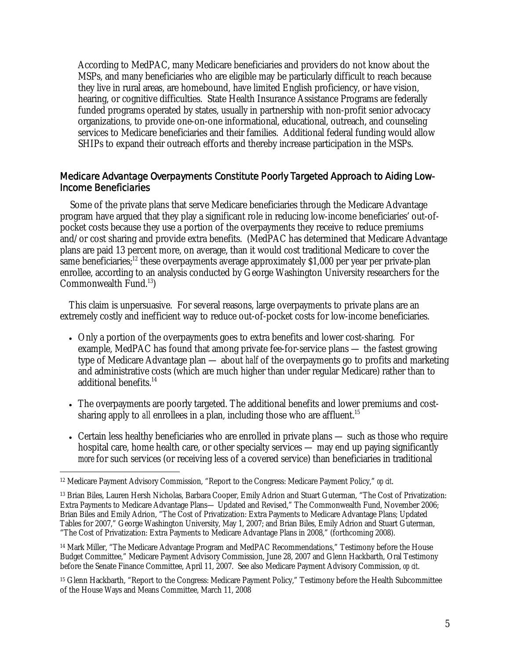According to MedPAC, many Medicare beneficiaries and providers do not know about the MSPs, and many beneficiaries who are eligible may be particularly difficult to reach because they live in rural areas, are homebound, have limited English proficiency, or have vision, hearing, or cognitive difficulties. State Health Insurance Assistance Programs are federally funded programs operated by states, usually in partnership with non-profit senior advocacy organizations, to provide one-on-one informational, educational, outreach, and counseling services to Medicare beneficiaries and their families. Additional federal funding would allow SHIPs to expand their outreach efforts and thereby increase participation in the MSPs.

#### Medicare Advantage Overpayments Constitute Poorly Targeted Approach to Aiding Low-Income Beneficiaries

 Some of the private plans that serve Medicare beneficiaries through the Medicare Advantage program have argued that they play a significant role in reducing low-income beneficiaries' out-ofpocket costs because they use a portion of the overpayments they receive to reduce premiums and/or cost sharing and provide extra benefits. (MedPAC has determined that Medicare Advantage plans are paid 13 percent more, on average, than it would cost traditional Medicare to cover the same beneficiaries;<sup>12</sup> these overpayments average approximately \$1,000 per year per private-plan enrollee, according to an analysis conducted by George Washington University researchers for the Commonwealth Fund.13)

This claim is unpersuasive. For several reasons, large overpayments to private plans are an extremely costly and inefficient way to reduce out-of-pocket costs for low-income beneficiaries.

- Only a portion of the overpayments goes to extra benefits and lower cost-sharing. For example, MedPAC has found that among private fee-for-service plans — the fastest growing type of Medicare Advantage plan — about *half* of the overpayments go to profits and marketing and administrative costs (which are much higher than under regular Medicare) rather than to additional benefits.<sup>14</sup>
- The overpayments are poorly targeted. The additional benefits and lower premiums and costsharing apply to *all* enrollees in a plan, including those who are affluent.<sup>15</sup>
- Certain less healthy beneficiaries who are enrolled in private plans such as those who require hospital care, home health care, or other specialty services — may end up paying significantly *more* for such services (or receiving less of a covered service) than beneficiaries in traditional

14 Mark Miller, "The Medicare Advantage Program and MedPAC Recommendations," Testimony before the House Budget Committee," Medicare Payment Advisory Commission, June 28, 2007 and Glenn Hackbarth, Oral Testimony before the Senate Finance Committee, April 11, 2007. See also Medicare Payment Advisory Commission, *op cit*.

15 Glenn Hackbarth, "Report to the Congress: Medicare Payment Policy," Testimony before the Health Subcommittee of the House Ways and Means Committee, March 11, 2008

 $\overline{a}$ 12 Medicare Payment Advisory Commission, "Report to the Congress: Medicare Payment Policy," *op cit*.

<sup>13</sup> Brian Biles, Lauren Hersh Nicholas, Barbara Cooper, Emily Adrion and Stuart Guterman, "The Cost of Privatization: Extra Payments to Medicare Advantage Plans— Updated and Revised," The Commonwealth Fund, November 2006; Brian Biles and Emily Adrion, "The Cost of Privatization: Extra Payments to Medicare Advantage Plans; Updated Tables for 2007," George Washington University, May 1, 2007; and Brian Biles, Emily Adrion and Stuart Guterman, "The Cost of Privatization: Extra Payments to Medicare Advantage Plans in 2008," (forthcoming 2008).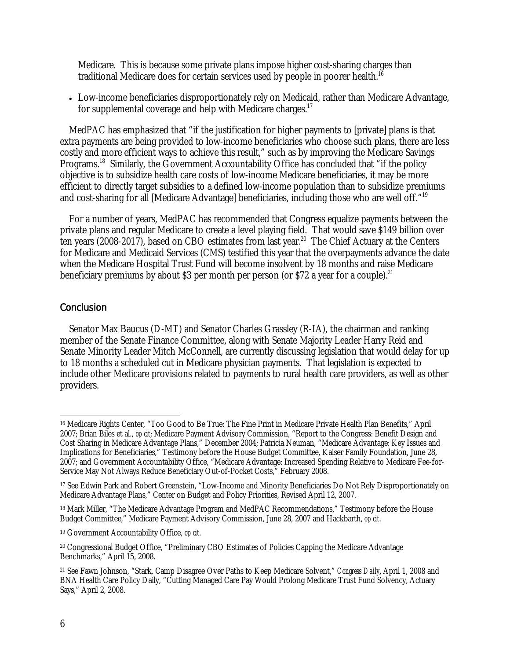Medicare. This is because some private plans impose higher cost-sharing charges than traditional Medicare does for certain services used by people in poorer health.<sup>16</sup>

• Low-income beneficiaries disproportionately rely on Medicaid, rather than Medicare Advantage, for supplemental coverage and help with Medicare charges.<sup>17</sup>

MedPAC has emphasized that "if the justification for higher payments to [private] plans is that extra payments are being provided to low-income beneficiaries who choose such plans, there are less costly and more efficient ways to achieve this result," such as by improving the Medicare Savings Programs.<sup>18</sup> Similarly, the Government Accountability Office has concluded that "if the policy" objective is to subsidize health care costs of low-income Medicare beneficiaries, it may be more efficient to directly target subsidies to a defined low-income population than to subsidize premiums and cost-sharing for all [Medicare Advantage] beneficiaries, including those who are well off."19

For a number of years, MedPAC has recommended that Congress equalize payments between the private plans and regular Medicare to create a level playing field. That would save \$149 billion over ten years (2008-2017), based on CBO estimates from last year.<sup>20</sup> The Chief Actuary at the Centers for Medicare and Medicaid Services (CMS) testified this year that the overpayments advance the date when the Medicare Hospital Trust Fund will become insolvent by 18 months and raise Medicare beneficiary premiums by about \$3 per month per person (or \$72 a year for a couple).<sup>21</sup>

#### **Conclusion**

Senator Max Baucus (D-MT) and Senator Charles Grassley (R-IA), the chairman and ranking member of the Senate Finance Committee, along with Senate Majority Leader Harry Reid and Senate Minority Leader Mitch McConnell, are currently discussing legislation that would delay for up to 18 months a scheduled cut in Medicare physician payments. That legislation is expected to include other Medicare provisions related to payments to rural health care providers, as well as other providers.

 $\overline{a}$ 16 Medicare Rights Center, "Too Good to Be True: The Fine Print in Medicare Private Health Plan Benefits," April 2007; Brian Biles et al., *op cit*; Medicare Payment Advisory Commission, "Report to the Congress: Benefit Design and Cost Sharing in Medicare Advantage Plans," December 2004; Patricia Neuman, "Medicare Advantage: Key Issues and Implications for Beneficiaries," Testimony before the House Budget Committee, Kaiser Family Foundation, June 28, 2007; and Government Accountability Office, "Medicare Advantage: Increased Spending Relative to Medicare Fee-for-Service May Not Always Reduce Beneficiary Out-of-Pocket Costs," February 2008.

<sup>17</sup> See Edwin Park and Robert Greenstein, "Low-Income and Minority Beneficiaries Do Not Rely Disproportionately on Medicare Advantage Plans," Center on Budget and Policy Priorities, Revised April 12, 2007.

<sup>&</sup>lt;sup>18</sup> Mark Miller, "The Medicare Advantage Program and MedPAC Recommendations," Testimony before the House Budget Committee," Medicare Payment Advisory Commission, June 28, 2007 and Hackbarth, *op cit*.

<sup>19</sup> Government Accountability Office, *op cit*.

<sup>20</sup> Congressional Budget Office, "Preliminary CBO Estimates of Policies Capping the Medicare Advantage Benchmarks," April 15, 2008.

<sup>21</sup> See Fawn Johnson, "Stark, Camp Disagree Over Paths to Keep Medicare Solvent," *Congress Daily*, April 1, 2008 and BNA Health Care Policy Daily, "Cutting Managed Care Pay Would Prolong Medicare Trust Fund Solvency, Actuary Says," April 2, 2008.